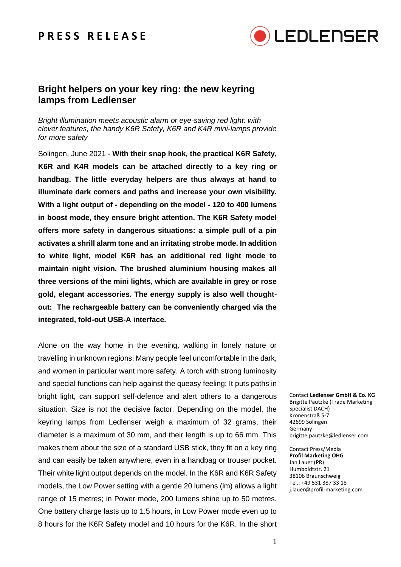## **P R E S S R E L E A S E**



### **Bright helpers on your key ring: the new keyring lamps from Ledlenser**

*Bright illumination meets acoustic alarm or eye-saving red light: with clever features, the handy K6R Safety, K6R and K4R mini-lamps provide for more safety*

Solingen, June 2021 - **With their snap hook, the practical K6R Safety, K6R and K4R models can be attached directly to a key ring or handbag. The little everyday helpers are thus always at hand to illuminate dark corners and paths and increase your own visibility. With a light output of - depending on the model - 120 to 400 lumens in boost mode, they ensure bright attention. The K6R Safety model offers more safety in dangerous situations: a simple pull of a pin activates a shrill alarm tone and an irritating strobe mode. In addition to white light, model K6R has an additional red light mode to maintain night vision. The brushed aluminium housing makes all three versions of the mini lights, which are available in grey or rose gold, elegant accessories. The energy supply is also well thoughtout: The rechargeable battery can be conveniently charged via the integrated, fold-out USB-A interface.**

Alone on the way home in the evening, walking in lonely nature or travelling in unknown regions: Many people feel uncomfortable in the dark, and women in particular want more safety. A torch with strong luminosity and special functions can help against the queasy feeling: It puts paths in bright light, can support self-defence and alert others to a dangerous situation. Size is not the decisive factor. Depending on the model, the keyring lamps from Ledlenser weigh a maximum of 32 grams, their diameter is a maximum of 30 mm, and their length is up to 66 mm. This makes them about the size of a standard USB stick, they fit on a key ring and can easily be taken anywhere, even in a handbag or trouser pocket. Their white light output depends on the model. In the K6R and K6R Safety models, the Low Power setting with a gentle 20 lumens (lm) allows a light range of 15 metres; in Power mode, 200 lumens shine up to 50 metres. One battery charge lasts up to 1.5 hours, in Low Power mode even up to 8 hours for the K6R Safety model and 10 hours for the K6R. In the short

Contact **Ledlenser GmbH & Co. KG** Brigitte Pautzke (Trade Marketing Specialist DACH) Kronenstraß 5-7 42699 Solingen Germany brigitte.pautzke@ledlenser.com

Contact Press/Media **Profil Marketing OHG** Jan Lauer (PR) Humboldtstr. 21 38106 Braunschweig Tel.: +49 531 387 33 18 j.lauer@profil-marketing.com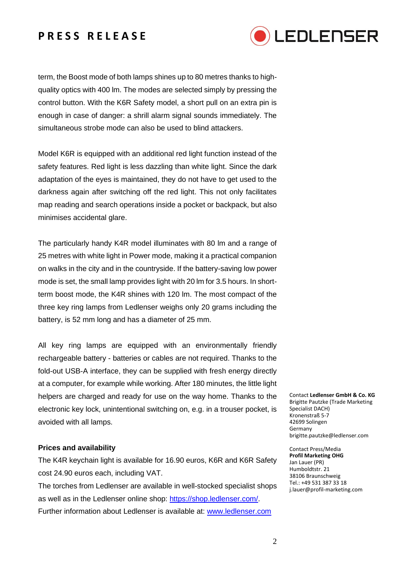# **P R E S S R E L E A S E**



term, the Boost mode of both lamps shines up to 80 metres thanks to highquality optics with 400 lm. The modes are selected simply by pressing the control button. With the K6R Safety model, a short pull on an extra pin is enough in case of danger: a shrill alarm signal sounds immediately. The simultaneous strobe mode can also be used to blind attackers.

Model K6R is equipped with an additional red light function instead of the safety features. Red light is less dazzling than white light. Since the dark adaptation of the eyes is maintained, they do not have to get used to the darkness again after switching off the red light. This not only facilitates map reading and search operations inside a pocket or backpack, but also minimises accidental glare.

The particularly handy K4R model illuminates with 80 lm and a range of 25 metres with white light in Power mode, making it a practical companion on walks in the city and in the countryside. If the battery-saving low power mode is set, the small lamp provides light with 20 lm for 3.5 hours. In shortterm boost mode, the K4R shines with 120 lm. The most compact of the three key ring lamps from Ledlenser weighs only 20 grams including the battery, is 52 mm long and has a diameter of 25 mm.

All key ring lamps are equipped with an environmentally friendly rechargeable battery - batteries or cables are not required. Thanks to the fold-out USB-A interface, they can be supplied with fresh energy directly at a computer, for example while working. After 180 minutes, the little light helpers are charged and ready for use on the way home. Thanks to the electronic key lock, unintentional switching on, e.g. in a trouser pocket, is avoided with all lamps.

#### **Prices and availability**

The K4R keychain light is available for 16.90 euros, K6R and K6R Safety cost 24.90 euros each, including VAT.

The torches from Ledlenser are available in well-stocked specialist shops as well as in the Ledlenser online shop: [https://shop.ledlenser.com/.](https://shop.ledlenser.com/) Further information about Ledlenser is available at: [www.ledlenser.com](http://www.ledlenser.com/)

Contact **Ledlenser GmbH & Co. KG** Brigitte Pautzke (Trade Marketing Specialist DACH) Kronenstraß 5-7 42699 Solingen Germany brigitte.pautzke@ledlenser.com

Contact Press/Media **Profil Marketing OHG** Jan Lauer (PR) Humboldtstr. 21 38106 Braunschweig Tel.: +49 531 387 33 18 j.lauer@profil-marketing.com